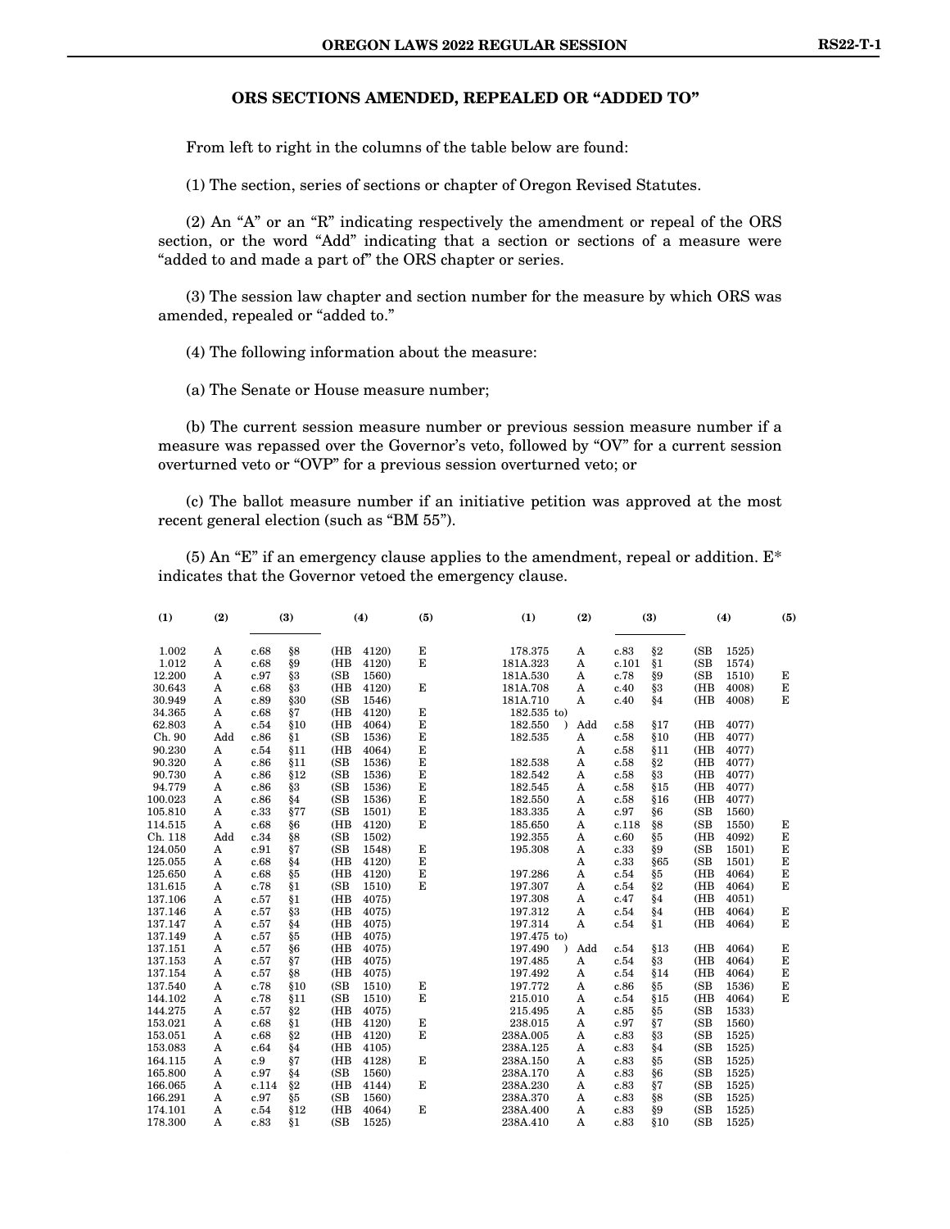#### **ORS SECTIONS AMENDED, REPEALED OR "ADDED TO"**

From left to right in the columns of the table below are found:

(1) The section, series of sections or chapter of Oregon Revised Statutes.

(2) An "A" or an "R" indicating respectively the amendment or repeal of the ORS section, or the word "Add" indicating that a section or sections of a measure were "added to and made a part of" the ORS chapter or series.

(3) The session law chapter and section number for the measure by which ORS was amended, repealed or "added to."

(4) The following information about the measure:

(a) The Senate or House measure number;

(b) The current session measure number or previous session measure number if a measure was repassed over the Governor's veto, followed by "OV" for a current session overturned veto or "OVP" for a previous session overturned veto; or

(c) The ballot measure number if an initiative petition was approved at the most recent general election (such as "BM 55").

(5) An "E" if an emergency clause applies to the amendment, repeal or addition.  $E^*$ indicates that the Governor vetoed the emergency clause.

| (2)<br>(1) |     | (3)   |       |      | (4)<br>(5) |   | (1)                  | (2) |       | (3)  |      | (4)   | (5) |  |
|------------|-----|-------|-------|------|------------|---|----------------------|-----|-------|------|------|-------|-----|--|
| 1.002      | A   | c.68  | §8    | (HB  | 4120)      | E | 178.375              | A   | c.83  | §2   | (SB) | 1525) |     |  |
| 1.012      | A   | c.68  | §9    | (HB  | 4120)      | E | 181A.323             | A   | c.101 | §1   | (SB) | 1574) |     |  |
| 12.200     | A   | c.97  | §3    | (SB) | 1560)      |   | 181A.530             | A   | c.78  | §9   | (SB) | 1510) | Е   |  |
| 30.643     | A   | c.68  | § 3   | (HB  | 4120)      | E | 181A.708             | A   | c.40  | §3   | (HB  | 4008) | Е   |  |
| 30.949     | A   | c.89  | §30   | (SB) | 1546)      |   | 181A.710             | A   | c.40  | §4   | (HB  | 4008) | Е   |  |
| 34.365     | A   | c.68  | §7    | (HB  | 4120)      | E | 182.535 to)          |     |       |      |      |       |     |  |
| 62.803     | A   | c.54  | \$10  | (HB  | 4064)      | E | 182.550<br>$\lambda$ | Add | c.58  | §17  | (HB) | 4077) |     |  |
| Ch. 90     | Add | c.86  | §1    | (SB) | 1536)      | E | 182.535              | A   | c.58  | \$10 | (HB  | 4077) |     |  |
| 90.230     | A   | c.54  | §11   | (HB  | 4064)      | E |                      | A   | c.58  | §11  | (HB) | 4077) |     |  |
| 90.320     | A   | c.86  | §11   | (SB) | 1536)      | E | 182.538              | A   | c.58  | §2   | (HB  | 4077) |     |  |
| 90.730     | A   | c.86  | §12   | (SB) | 1536)      | E | 182.542              | A   | c.58  | §3   | (HB  | 4077) |     |  |
| 94.779     | A   | c.86  | §3    | (SB) | 1536)      | E | 182.545              | A   | c.58  | \$15 | (HB) | 4077) |     |  |
| 100.023    | A   | c.86  | §4    | (SB) | 1536)      | E | 182.550              | A   | c.58  | §16  | (HB) | 4077) |     |  |
| 105.810    | A   | c.33  | §77   | (SB) | 1501)      | E | 183.335              | A   | c.97  | §6   | (SB  | 1560) |     |  |
| 114.515    | A   | c.68  | §6    | (HB) | 4120)      | E | 185.650              | A   | c.118 | §8   | (SB) | 1550) | Е   |  |
| Ch. 118    | Add | c.34  | §8    | (SB) | 1502)      |   | 192.355              | A   | c.60  | §5   | (HB  | 4092) | Е   |  |
| 124.050    | A   | c.91  | §7    | (SB) | 1548)      | Е | 195.308              | A   | c.33  | §9   | (SB) | 1501) | E   |  |
| 125.055    | A   | c.68  | §4    | (HB  | 4120)      | E |                      | A   | c.33  | §65  | (SB) | 1501) | E   |  |
| 125.650    | A   | c.68  | §5    | (HB  | 4120)      | E | 197.286              | A   | c.54  | §5   | (HB  | 4064) | E   |  |
| 131.615    | A   | c.78  | §1    | (SB) | 1510)      | E | 197.307              | A   | c.54  | §2   | (HB  | 4064) | E   |  |
| 137.106    | A   | c.57  | §1    | (HB  | 4075)      |   | 197.308              | A   | c.47  | §4   | (HB  | 4051) |     |  |
| 137.146    | A   | c.57  | § 3   | (HB  | 4075)      |   | 197.312              | A   | c.54  | §4   | (HB  | 4064) | Е   |  |
| 137.147    | A   | c.57  | §4    | (HB  | 4075)      |   | 197.314              | A   | c.54  | §1   | (HB) | 4064) | E   |  |
| 137.149    | A   | c.57  | §5    | (HB  | 4075)      |   | 197.475 to)          |     |       |      |      |       |     |  |
| 137.151    | A   | c.57  | §6    | (HB  | 4075)      |   | 197.490<br>$\lambda$ | Add | c.54  | §13  | (HB) | 4064) | E   |  |
| 137.153    | A   | c.57  | §7    | (HB  | 4075)      |   | 197.485              | A   | c.54  | §3   | (HB) | 4064) | E   |  |
| 137.154    | A   | c.57  | §8    | (HB  | 4075)      |   | 197.492              | A   | c.54  | §14  | (HB) | 4064) | E   |  |
| 137.540    | A   | c.78  | §10   | (SB) | 1510)      | Е | 197.772              | A   | c.86  | §5   | (SB) | 1536) | Е   |  |
| 144.102    | A   | c.78  | §11   | (SB) | 1510)      | E | 215.010              | A   | c.54  | §15  | (HB  | 4064) | E   |  |
| 144.275    | A   | c.57  | §2    | (HB  | 4075)      |   | 215.495              | A   | c.85  | §5   | (SB) | 1533) |     |  |
| 153.021    | A   | c.68  | §1    | (HB  | 4120)      | E | 238.015              | A   | c.97  | §7   | (SB) | 1560) |     |  |
| 153.051    | A   | c.68  | §2    | (HB  | 4120)      | E | 238A.005             | A   | c.83  | §3   | (SB) | 1525) |     |  |
| 153.083    | A   | c.64  | §4    | (HB  | 4105)      |   | 238A.125             | A   | c.83  | §4   | (SB) | 1525) |     |  |
| 164.115    | A   | c.9   | §7    | (HB  | 4128)      | Е | 238A.150             | A   | c.83  | §5   | (SB) | 1525) |     |  |
| 165.800    | A   | c.97  | §4    | (SB) | 1560)      |   | 238A.170             | A   | c.83  | §6   | (SB) | 1525) |     |  |
| 166.065    | A   | c.114 | $\S2$ | (HB  | 4144)      | E | 238A.230             | A   | c.83  | §7   | (SB) | 1525) |     |  |
| 166.291    | A   | c.97  | §5    | (SB) | 1560)      |   | 238A.370             | A   | c.83  | §8   | (SB) | 1525) |     |  |
| 174.101    | A   | c.54  | \$12  | (HB) | 4064)      | E | 238A.400             | A   | c.83  | §9   | (SB) | 1525) |     |  |
| 178.300    | A   | c.83  | §1    | (SB) | 1525)      |   | 238A.410             | A   | c.83  | §10  | (SB) | 1525) |     |  |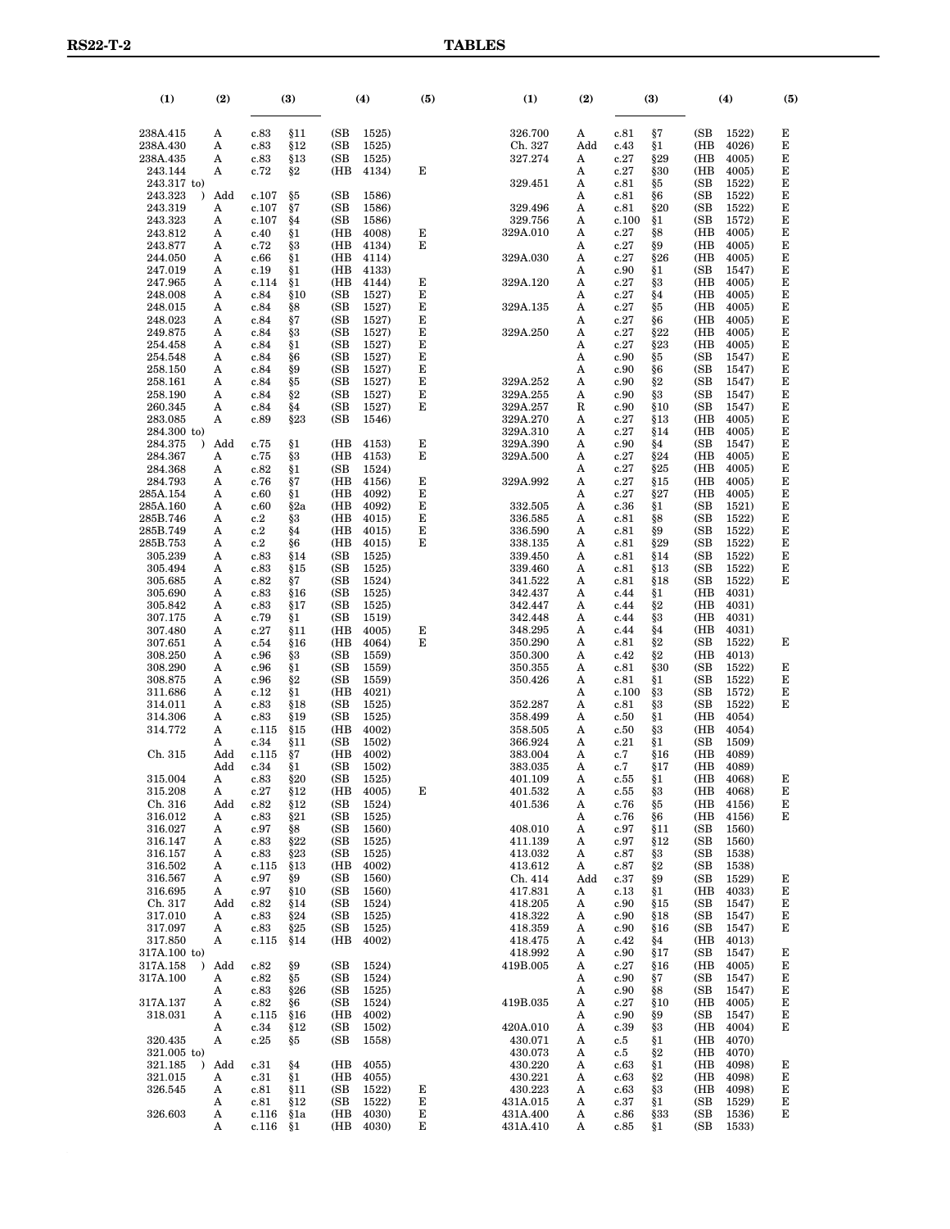| (1)                                 | (2)      | (3)<br>(4)<br>(5) |             | (1)         | (2)            |        | (3)                  |          | (4)           |               |             |                |        |
|-------------------------------------|----------|-------------------|-------------|-------------|----------------|--------|----------------------|----------|---------------|---------------|-------------|----------------|--------|
| 238A.415                            | A        | c.83              | §11         | (SB         | 1525)          |        | 326.700              | A        | c.81          | §7            | (SB         | 1522)          | Е      |
| 238A.430<br>238A.435                | Α<br>A   | c.83<br>c.83      | §12<br>§13  | (SB)<br>(SB | 1525)<br>1525) |        | Ch. 327<br>327.274   | Add<br>A | c.43<br>c.27  | §1<br>§29     | (HB<br>(HB) | 4026)<br>4005) | Е<br>E |
| 243.144                             | A        | c.72              | §2          | (HB         | 4134)          | Е      |                      | A        | c.27          | §30           | (HB         | 4005)          | Е      |
| 243.317 to)                         |          |                   |             |             |                |        | 329.451              | Α        | c.81          | §5            | (SB         | 1522)          | Е      |
| 243.323<br>$\lambda$                | Add      | c.107             | §5          | (SB         | 1586)          |        |                      | A        | c.81          | §6            | (SB)        | 1522)          | E      |
| 243.319                             | Α        | c.107             | §7          | (SB         | 1586)          |        | 329.496              | A        | c.81          | §20           | (SB         | 1522)          | Е      |
| 243.323<br>243.812                  | A<br>A   | c.107<br>c.40     | §4<br>§1    | (SB<br>(HB  | 1586)<br>4008) | Е      | 329.756<br>329A.010  | A<br>A   | c.100<br>c.27 | §1            | (SB<br>(HB  | 1572)<br>4005) | Е<br>E |
| 243.877                             | A        | c.72              | §3          | (HB         | 4134)          | Е      |                      | A        | c.27          | §8<br>§9      | (HB         | 4005)          | Е      |
| 244.050                             | Α        | c.66              | §1          | (HB         | 4114)          |        | 329A.030             | A        | c.27          | §26           | (HB         | 4005)          | Е      |
| 247.019                             | A        | c.19              | §1          | (HB         | 4133)          |        |                      | A        | c.90          | §1            | (SB)        | 1547)          | E      |
| 247.965                             | A        | c.114             | §1          | (HB         | 4144)          | Е      | 329A.120             | A        | c.27          | §3            | (HB         | 4005)          | Е      |
| 248.008<br>248.015                  | Α<br>A   | c.84<br>c.84      | \$10<br>§8  | (SB<br>(SB  | 1527)<br>1527) | Е<br>Е | 329A.135             | A<br>A   | c.27<br>c.27  | §4<br>§5      | (HB<br>(HB  | 4005)<br>4005) | Е<br>E |
| 248.023                             | A        | c.84              | §7          | (SB         | 1527)          | Е      |                      | A        | c.27          | §6            | (HB         | 4005)          | Е      |
| 249.875                             | Α        | c.84              | §3          | (SB         | 1527)          | Е      | 329A.250             | A        | c.27          | §22           | (HB         | 4005)          | Е      |
| 254.458                             | A        | c.84              | §1          | (SB         | 1527)          | Е      |                      | A        | c.27          | §23           | (HB         | 4005)          | E      |
| 254.548<br>258.150                  | Α<br>Α   | c.84              | §6<br>§9    | (SB<br>(SB  | 1527)<br>1527) | Е<br>Е |                      | A<br>A   | c.90<br>c.90  | §5<br>§6      | (SB<br>(SB  | 1547)<br>1547) | Е<br>Е |
| 258.161                             | A        | c.84<br>c.84      | §5          | (SB         | 1527)          | Е      | 329A.252             | Α        | c.90          | §2            | (SB         | 1547)          | E      |
| 258.190                             | Α        | c.84              | §2          | (SB         | 1527)          | Е      | 329A.255             | Α        | c.90          | şз            | (SB         | 1547)          | Е      |
| 260.345                             | Α        | c.84              | §4          | (SB         | 1527)          | Е      | 329A.257             | R        | c.90          | \$10          | (SB)        | 1547)          | E      |
| 283.085                             | A        | c.89              | §23         | (SB         | 1546)          |        | 329A.270             | A        | c.27          | §13           | (HB         | 4005)          | Е      |
| 284.300 to)<br>$\lambda$            | Add      |                   | §1          | (HB         | 4153)          | Е      | 329A.310             | A        | c.27          | §14           | (HB<br>(SB) | 4005)<br>1547) | Е<br>E |
| 284.375<br>284.367                  | A        | c.75<br>c.75      | §3          | (HB         | 4153)          | Е      | 329A.390<br>329A.500 | Α<br>A   | c.90<br>c.27  | §4<br>§24     | (HB         | 4005)          | Е      |
| 284.368                             | A        | c.82              | §1          | (SB         | 1524)          |        |                      | A        | c.27          | §25           | (HB         | 4005)          | Е      |
| 284.793                             | Α        | c.76              | §7          | (HB         | 4156)          | Е      | 329A.992             | Α        | c.27          | §15           | (HB         | 4005)          | E      |
| 285A.154                            | A        | c.60              | §1          | (HB         | 4092)          | E      |                      | A        | c.27          | $\S 27$       | (HB         | 4005)          | E      |
| 285A.160<br>285B.746                | A<br>Α   | c.60<br>c.2       | §2a<br>§3   | (HB<br>(HB  | 4092)<br>4015) | Е<br>Е | 332.505<br>336.585   | Α<br>Α   | c.36          | §1            | (SB<br>(SB) | 1521)<br>1522) | Е<br>E |
| 285B.749                            | A        | c.2               | §4          | (HB         | 4015)          | Е      | 336.590              | Α        | c.81<br>c.81  | §8<br>§9      | (SB)        | 1522)          | Е      |
| 285B.753                            | Α        | c.2               | §6          | (HB         | 4015)          | Е      | 338.135              | A        | c.81          | §29           | (SB         | 1522)          | Е      |
| 305.239                             | Α        | c.83              | §14         | (SB         | 1525)          |        | 339.450              | Α        | c.81          | §14           | (SB)        | 1522)          | E      |
| 305.494                             | A        | c.83              | §15         | (SB)        | 1525)          |        | 339.460              | A        | c.81          | §13           | (SB)        | 1522)          | E      |
| 305.685<br>305.690                  | A<br>Α   | c.82<br>c.83      | §7<br>\$16  | (SB<br>(SB  | 1524)<br>1525) |        | 341.522<br>342.437   | A<br>A   | c.81<br>c.44  | §18<br>§1     | (SB<br>(HB  | 1522)<br>4031) | Е      |
| 305.842                             | A        | c.83              | §17         | (SB)        | 1525)          |        | 342.447              | A        | c.44          | $\S 2$        | (HB         | 4031)          |        |
| 307.175                             | A        | c.79              | §1          | (SB         | 1519)          |        | 342.448              | A        | c.44          | §3            | (HB         | 4031)          |        |
| 307.480                             | Α        | c.27              | §11         | (HB         | 4005)          | Е      | 348.295              | A        | c.44          | §4            | (HB         | 4031)          |        |
| 307.651                             | A        | c.54              | §16         | (HB         | 4064)          | Е      | 350.290              | A        | c.81          | $\S 2$        | (SB         | 1522)          | Е      |
| 308.250<br>308.290                  | A<br>Α   | c.96<br>c.96      | §З<br>§1    | (SB<br>(SB  | 1559)<br>1559) |        | 350.300<br>350.355   | A<br>A   | c.42<br>c.81  | $\S 2$<br>§30 | (HB<br>(SB) | 4013)<br>1522) | Е      |
| 308.875                             | A        | c.96              | §2          | (SB         | 1559)          |        | 350.426              | A        | c.81          | §1            | (SB         | 1522)          | E      |
| 311.686                             | A        | c.12              | §1          | (HB         | 4021)          |        |                      | A        | c.100         | §3            | (SB         | 1572)          | Е      |
| 314.011                             | Α        | c.83              | §18         | (SB         | 1525)          |        | 352.287              | A        | c.81          | §3            | (SB)        | 1522)          | E      |
| 314.306<br>314.772                  | A<br>A   | c.83<br>c.115     | \$19<br>§15 | (SB)<br>(HB | 1525)<br>4002) |        | 358.499<br>358.505   | A<br>A   | c.50<br>c.50  | §1<br>§3      | (HB<br>(HB  | 4054)<br>4054) |        |
|                                     | A        | c.34              | §11         | (SB         | 1502)          |        | 366.924              | A        | c.21          | §1            | (SB)        | 1509)          |        |
| Ch. 315                             | Add      | c.115             | §7          | (HB         | 4002)          |        | 383.004              | A        | c.7           | \$16          | (HB         | 4089)          |        |
|                                     | Add      | c.34              | §1          | (SB         | 1502)          |        | 383.035              | A        | c.7           | §17           | (HB         | 4089)          |        |
| 315.004                             | A        | c.83              | §20         | (SB         | 1525)          |        | 401.109              | A        | c.55          | §1            | (HB         | 4068)          | Е      |
| 315.208<br>Ch. 316                  | A<br>Add | c.27<br>c.82      | §12<br>§12  | (HB<br>(SB  | 4005)<br>1524) | Е      | 401.532<br>401.536   | A<br>A   | c.55<br>c.76  | §З<br>§5      | (HB<br>(HB  | 4068)<br>4156) | Е<br>Е |
| 316.012                             | A        | c.83              | §21         | (SB         | 1525)          |        |                      | A        | c.76          | §6            | (HB         | 4156)          | Е      |
| 316.027                             | A        | c.97              | §8          | (SB         | 1560)          |        | 408.010              | A        | c.97          | §11           | (SB)        | 1560)          |        |
| 316.147                             | A        | c.83              | §22         | (SB         | 1525)          |        | 411.139              | A        | c.97          | §12           | (SB         | <b>1560</b> )  |        |
| 316.157<br>316.502                  | A<br>A   | c.83<br>c.115     | §23<br>§13  | (SB<br>(HB  | 1525)<br>4002) |        | 413.032<br>413.612   | A<br>A   | c.87<br>c.87  | §3<br>§2      | (SB<br>(SB  | 1538)<br>1538) |        |
| 316.567                             | A        | c.97              | §9          | (SB         | 1560)          |        | Ch. 414              | Add      | c.37          | §9            | (SB         | 1529)          | Е      |
| 316.695                             | A        | c.97              | §10         | (SB         | 1560)          |        | 417.831              | A        | c.13          | §1            | (HB         | 4033)          | Е      |
| Ch. 317                             | Add      | c.82              | §14         | (SB         | 1524)          |        | 418.205              | A        | c.90          | §15           | (SB         | 1547)          | Е      |
| 317.010                             | A        | c.83              | §24         | (SB         | 1525)          |        | 418.322              | A        | c.90          | §18           | (SB         | 1547)          | Е      |
| 317.097<br>317.850                  | A<br>A   | c.83<br>c.115     | §25<br>§14  | (SB<br>(HB  | 1525)<br>4002) |        | 418.359<br>418.475   | A<br>A   | c.90<br>c.42  | §16<br>§4     | (SB<br>(HB  | 1547)<br>4013) | Е      |
| 317A.100 to)                        |          |                   |             |             |                |        | 418.992              | A        | c.90          | §17           | (SB         | 1547)          | Е      |
| $\mathcal{L}$<br>317A.158           | Add      | c.82              | §9          | (SB         | 1524)          |        | 419B.005             | A        | c.27          | §16           | (HB         | 4005)          | Е      |
| 317A.100                            | A        | c.82              | §5          | (SB         | 1524)          |        |                      | A        | c.90          | §7            | (SB         | 1547)          | Е      |
| 317A.137                            | A        | c.83<br>c.82      | §26         | (SB<br>(SB  | 1525)<br>1524) |        | 419B.035             | A        | c.90<br>c.27  | §8            | (SB<br>(HB  | 1547)<br>4005) | Е<br>Е |
| 318.031                             | A<br>A   | c.115             | §6<br>§16   | (HB         | 4002)          |        |                      | A<br>A   | c.90          | §10<br>§9     | (SB         | 1547)          | Е      |
|                                     | A        | c.34              | §12         | (SB         | 1502)          |        | 420A.010             | A        | c.39          | §З            | (HB         | 4004)          | Е      |
| 320.435                             | A        | c.25              | §5          | (SB         | 1558)          |        | 430.071              | A        | c.5           | §1            | (HB         | 4070)          |        |
| 321.005 to)                         |          |                   |             |             |                |        | 430.073              | A        | c.5           | §2            | (HB         | 4070)          |        |
| 321.185<br>$\mathcal{L}$<br>321.015 | Add<br>A | c.31<br>c.31      | §4<br>§1    | (HB<br>(HB  | 4055)<br>4055) |        | 430.220<br>430.221   | A<br>A   | c.63<br>c.63  | §1<br>§2      | (HB<br>(HB  | 4098)<br>4098) | Е<br>Е |
| 326.545                             | A        | c.81              | §11         | (SB         | 1522)          | Е      | 430.223              | A        | c.63          | §3            | (HB         | 4098)          | Е      |
|                                     | A        | c.81              | §12         | (SB         | 1522)          | Е      | 431A.015             | A        | c.37          | §1            | (SB         | 1529)          | Е      |
| 326.603                             | A        | c.116             | §1a         | (HB         | 4030)          | Е      | 431A.400             | A        | c.86          | §33           | (SB         | 1536)          | Е      |
|                                     | A        | c.116             | §1          | (HB         | 4030)          | Е      | 431A.410             | A        | c.85          | §1            | (SB         | 1533)          |        |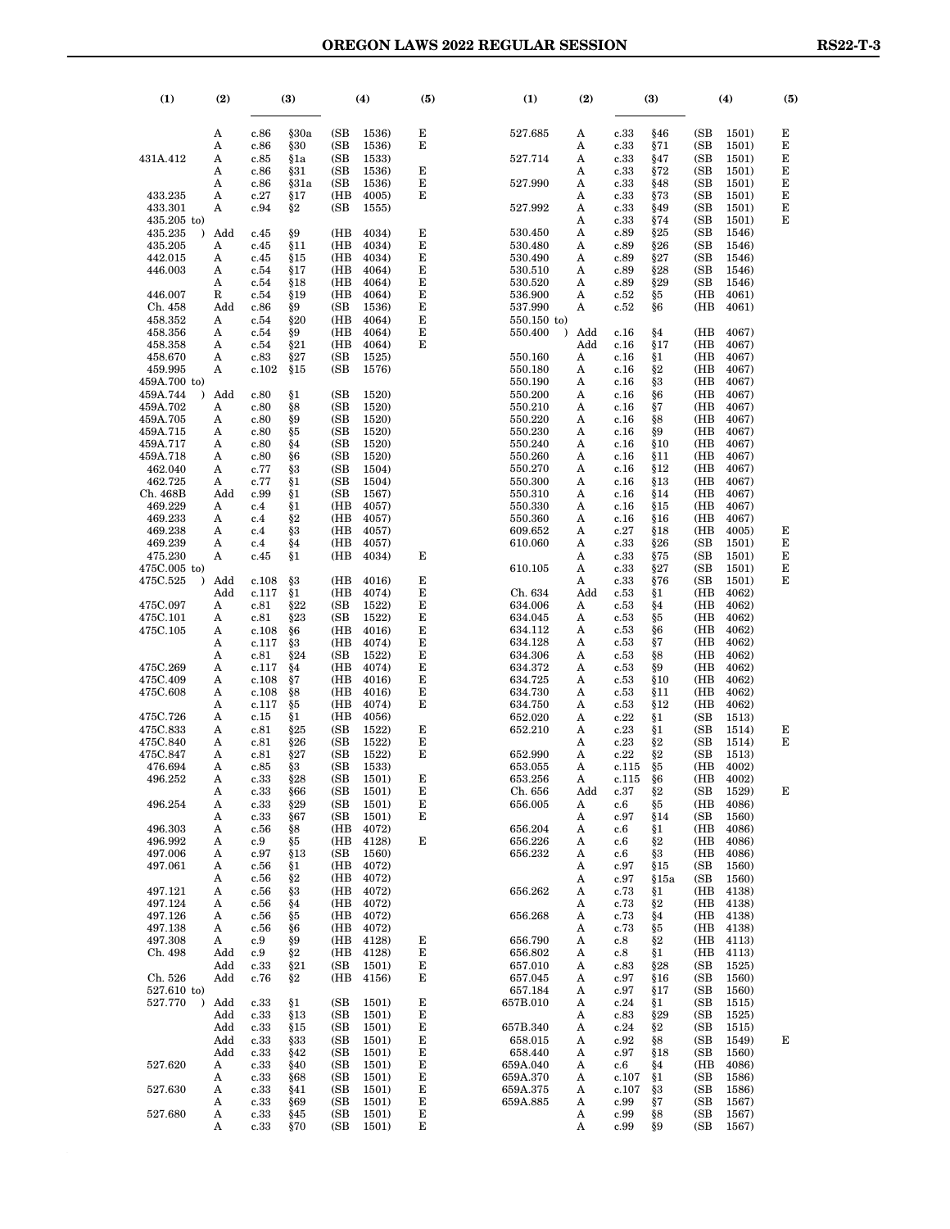| $\left(1\right)$                | (2)        |               | (3)        |             | (4)                    | (5)    | (1)                  | (2)      |               | (3)         |              | (4)                    | (5)    |
|---------------------------------|------------|---------------|------------|-------------|------------------------|--------|----------------------|----------|---------------|-------------|--------------|------------------------|--------|
|                                 | A          | c.86          | §30a       | (SB)        | 1536)                  | Е      | 527.685              | A        | c.33          | §46         | (SB)         | 1501)                  | Е      |
|                                 | Α          | c.86          | §30        | (SB         | 1536)                  | Е      |                      | Α        | c.33          | §71         | (SB          | 1501)                  | Е      |
| 431A.412                        | A<br>A     | c.85<br>c.86  | §1a<br>§31 | (SB)<br>(SB | 1533)<br>1536)         | Е      | 527.714              | Α<br>Α   | c.33<br>c.33  | §47<br>§72  | (SB)<br>(SB) | 1501)<br>1501)         | Е<br>Е |
|                                 | A          | c.86          | §31a       | (SB         | 1536)                  | Е      | 527.990              | Α        | c.33          | §48         | (SB          | 1501)                  | Е      |
| 433.235                         | A          | c.27          | §17        | (HB         | 4005)                  | Е      |                      | Α        | c.33          | §73         | (SB)         | <b>1501</b> )          | Е      |
| 433.301                         | Α          | c.94          | §2         | (SB         | 1555)                  |        | 527.992              | Α        | c.33          | §49         | (SB)         | 1501)                  | Е      |
| $435.205$ to)                   |            |               |            |             |                        |        |                      | Α        | c.33          | §74         | (SB)         | <b>1501</b> )          | Е      |
| 435.235<br>$\lambda$<br>435.205 | Add<br>A   | c.45<br>c.45  | §9<br>§11  | (HB<br>(HB  | 4034)<br>4034)         | Е<br>Е | 530.450<br>530.480   | Α<br>Α   | c.89<br>c.89  | §25<br>§26  | (SB)<br>(SB) | 1546)<br>1546)         |        |
| 442.015                         | A          | c.45          | §15        | (HB         | 4034)                  | Е      | 530.490              | Α        | c.89          | §27         | (SB)         | 1546)                  |        |
| 446.003                         | A          | c.54          | §17        | (HB         | 4064)                  | Е      | 530.510              | Α        | c.89          | §28         | (SB          | 1546)                  |        |
|                                 | A          | c.54          | §18        | (HB         | 4064)                  | Е      | 530.520              | Α        | c.89          | §29         | (SB          | 1546)                  |        |
| 446.007<br>Ch. 458              | R<br>Add   | c.54<br>c.86  | §19<br>§9  | (HB<br>(SB  | 4064)<br>1536)         | Е<br>Е | 536.900<br>537.990   | Α<br>Α   | c.52<br>c.52  | §5<br>§6    | (HB<br>(HB   | 4061)<br>4061)         |        |
| 458.352                         | A          | c.54          | §20        | (HB         | 4064)                  | Е      | $550.150$ to)        |          |               |             |              |                        |        |
| 458.356                         | A          | c.54          | §9         | (HB         | 4064)                  | Е      | 550.400<br>$\lambda$ | Add      | c.16          | §4          | (HB          | 4067)                  |        |
| 458.358                         | A          | c.54          | §21        | (HB         | 4064)                  | Е      |                      | Add      | c.16          | §17         | (HB          | 4067)                  |        |
| 458.670<br>459.995              | A<br>A     | c.83<br>c.102 | §27<br>§15 | (SB<br>(SB) | 1525)<br>1576)         |        | 550.160<br>550.180   | Α<br>Α   | c.16<br>c.16  | §1<br>§2    | (HB<br>(HB   | 4067)<br>4067)         |        |
| 459A.700 to)                    |            |               |            |             |                        |        | 550.190              | A        | c.16          | §3          | (HB          | 4067)                  |        |
| 459A.744                        | Add        | c.80          | §1         | (SB)        | 1520)                  |        | 550.200              | Α        | c.16          | §6          | (HB          | 4067)                  |        |
| 459A.702                        | A          | c.80          | §8         | (SB         | 1520)                  |        | 550.210              | Α        | c.16          | §7          | (HB          | 4067)                  |        |
| 459A.705<br>459A.715            | A<br>A     | c.80<br>c.80  | §9<br>§5   | (SB<br>(SB  | 1520)<br>1520)         |        | 550.220<br>550.230   | A<br>Α   | c.16<br>c.16  | §8<br>§9    | (HB<br>(HB   | 4067)<br>4067)         |        |
| 459A.717                        | A          | c.80          | §4         | (SB         | 1520)                  |        | 550.240              | Α        | c.16          | \$10        | (HB          | 4067)                  |        |
| 459A.718                        | A          | c.80          | §6         | (SB         | 1520)                  |        | 550.260              | Α        | c.16          | §11         | (HB          | 4067)                  |        |
| 462.040                         | A          | c.77          | §З         | (SB         | 1504)                  |        | 550.270              | Α        | c.16          | §12         | (HB          | 4067)                  |        |
| 462.725<br>Ch. 468B             | A<br>Add   | c.77<br>c.99  | §1<br>§1   | (SB<br>(SB  | 1504)<br>1567)         |        | 550.300<br>550.310   | Α<br>Α   | c.16<br>c.16  | §13<br>§14  | (HB<br>(HB   | 4067)<br>4067)         |        |
| 469.229                         | A          | c.4           | §1         | (HB         | 4057)                  |        | 550.330              | Α        | c.16          | §15         | (HB          | 4067)                  |        |
| 469.233                         | A          | c.4           | §2         | (HB         | 4057)                  |        | 550.360              | Α        | c.16          | §16         | (HB          | 4067)                  |        |
| 469.238                         | A          | c.4           | §3         | (HB         | 4057)                  |        | 609.652              | Α        | c.27          | §18         | (HB          | 4005)                  | Е      |
| 469.239<br>475.230              | A<br>A     | c.4<br>c.45   | §4<br>§1   | (HB<br>(HB  | 4057)<br>4034)         | Е      | 610.060              | Α<br>Α   | c.33<br>c.33  | §26<br>§75  | (SB<br>(SB   | 1501)<br><b>1501</b> ) | Е<br>Е |
| 475C.005 to)                    |            |               |            |             |                        |        | 610.105              | Α        | c.33          | $\S 27$     | (SB          | 1501)                  | Е      |
| 475C.525                        | Add        | c.108         | §3         | (HB         | 4016)                  | Е      |                      | Α        | c.33          | §76         | (SB          | 1501)                  | Е      |
| 475C.097                        | Add<br>A   | c.117<br>c.81 | §1<br>§22  | (HB<br>(SB  | 4074)<br>1522)         | Е<br>Е | Ch. 634<br>634.006   | Add<br>Α | c.53<br>c.53  | §1<br>§4    | (HB<br>(HB   | 4062)<br>4062)         |        |
| 475C.101                        | A          | c.81          | §23        | (SB         | 1522)                  | Е      | 634.045              | Α        | c.53          | §5          | (HB          | 4062)                  |        |
| 475C.105                        | A          | c.108         | §6         | (HB         | 4016)                  | Е      | 634.112              | Α        | c.53          | §6          | (HB          | 4062)                  |        |
|                                 | A<br>A     | c.117<br>c.81 | §3<br>§24  | (HB<br>(SB  | 4074)<br>1522)         | Е<br>Е | 634.128<br>634.306   | Α        | c.53          | §7          | (HB<br>(HB   | 4062)<br>4062)         |        |
| 475C.269                        | A          | c.117         | §4         | (HB         | 4074)                  | Е      | 634.372              | Α<br>Α   | c.53<br>c.53  | §8<br>§9    | (HB          | 4062)                  |        |
| 475C.409                        | A          | c.108         | §7         | (HB         | 4016)                  | Е      | 634.725              | Α        | c.53          | §10         | (HB          | 4062)                  |        |
| 475C.608                        | A          | c.108         | §8         | (HB         | 4016)                  | Е      | 634.730              | Α        | c.53          | §11         | (HB          | 4062)                  |        |
| 475C.726                        | A<br>A     | c.117<br>c.15 | § 5<br>§1  | (HB<br>(HB  | 4074)<br>4056)         | Е      | 634.750<br>652.020   | Α<br>Α   | c.53<br>c.22  | §12<br>§1   | (HB<br>(SB   | 4062)<br>1513)         |        |
| 475C.833                        | A          | c.81          | §25        | (SB         | 1522)                  | Е      | 652.210              | Α        | c.23          | §1          | (SB          | 1514)                  | Е      |
| 475C.840                        | A          | c.81          | \$26       | (SB         | 1522)                  | Е      |                      | Α        | c.23          | §2          | (SB)         | 1514)                  | Е      |
| 475C.847<br>476.694             | A<br>A     | c.81<br>c.85  | §27<br>§З  | (SB<br>(SB  | 1522)<br>1533)         | Е      | 652.990<br>653.055   | Α<br>Α   | c.22<br>c.115 | §2<br>§5    | (SB<br>(HB   | 1513)<br>4002)         |        |
| 496.252                         | А          | c.33          | §28        | (SB         | <b>1501</b> )          | E      | 653.256              | А        | c.115         | §6          | (HB          | 4002)                  |        |
|                                 | A          | c.33          | §66        | (SB         | <b>1501</b> )          | Е      | Ch. 656              | Add      | c.37          | §2          | (SB          | 1529)                  | Е      |
| 496.254                         | A          | c.33          | §29        | (SB         | 1501)                  | Е      | 656.005              | A        | c.6           | §5          | (HB          | 4086)                  |        |
| 496.303                         | A<br>A     | c.33<br>c.56  | §67<br>§8  | (SB<br>(HB  | 1501)<br>4072)         | Е      | 656.204              | A<br>A   | c.97<br>c.6   | §14<br>§1   | (SB<br>(HB)  | 1560)<br>4086)         |        |
| 496.992                         | A          | c.9           | §5         | (HB         | 4128)                  | Е      | 656.226              | A        | c.6           | §2          | (HB          | 4086)                  |        |
| 497.006                         | A          | c.97          | §13        | (SB         | 1560)                  |        | 656.232              | A        | c.6           | §3          | (HB          | 4086)                  |        |
| 497.061                         | A<br>A     | c.56<br>c.56  | §1<br>§2   | (HB<br>(HB  | 4072)<br>4072)         |        |                      | A<br>A   | c.97<br>c.97  | §15<br>§15a | (SB<br>(SB   | 1560)<br><b>1560</b> ) |        |
| 497.121                         | A          | c.56          | §3         | (HB         | 4072)                  |        | 656.262              | A        | c.73          | §1          | (HB          | 4138)                  |        |
| 497.124                         | A          | c.56          | §4         | (HB         | 4072)                  |        |                      | A        | c.73          | §2          | (HB          | 4138)                  |        |
| 497.126                         | A          | c.56          | §5         | (HB         | 4072)                  |        | 656.268              | A        | c.73          | §4          | (HB          | 4138)                  |        |
| 497.138<br>497.308              | A<br>A     | c.56<br>c.9   | §6<br>§9   | (HB<br>(HB  | 4072)<br>4128)         | Е      | 656.790              | A<br>A   | c.73<br>c.8   | §5<br>§2    | (HB<br>(HB   | 4138)<br>4113)         |        |
| Ch. 498                         | Add        | c.9           | §2         | (HB         | 4128)                  | Е      | 656.802              | A        | c.8           | §1          | (HB          | 4113)                  |        |
|                                 | Add        | c.33          | §21        | (SB         | 1501)                  | Е      | 657.010              | A        | c.83          | §28         | (SB          | 1525)                  |        |
| Ch. 526<br>527.610 to)          | Add        | c.76          | $\S 2$     | (HB         | 4156)                  | Е      | 657.045<br>657.184   | A<br>A   | c.97<br>c.97  | §16<br>§17  | (SB<br>(SB   | 1560)<br><b>1560</b> ) |        |
| 527.770<br>$\lambda$            | Add        | c.33          | §1         | (SB         | 1501)                  | Е      | 657B.010             | A        | c.24          | §1          | (SB          | 1515)                  |        |
|                                 | Add        | c.33          | §13        | (SB         | 1501)                  | Е      |                      | A        | c.83          | §29         | (SB          | 1525)                  |        |
|                                 | Add        | c.33          | §15        | (SB         | <b>1501</b> )          | Е      | 657B.340             | A        | c.24          | §2          | (SB          | 1515)                  |        |
|                                 | Add<br>Add | c.33<br>c.33  | §33<br>§42 | (SB<br>(SB) | 1501)<br>1501)         | Е<br>Е | 658.015<br>658.440   | A<br>A   | c.92<br>c.97  | §8<br>§18   | (SB<br>(SB   | 1549)<br>1560)         | Е      |
| 527.620                         | A          | c.33          | §40        | (SB)        | <b>1501</b> )          | Е      | 659A.040             | A        | c.6           | §4          | (HB          | 4086)                  |        |
|                                 | A          | c.33          | §68        | (SB         | 1501)                  | Е      | 659A.370             | A        | c.107         | §1          | (SB          | 1586)                  |        |
| 527.630                         | A<br>A     | c.33<br>c.33  | §41<br>§69 | (SB)<br>(SB | 1501)<br><b>1501</b> ) | Е<br>Е | 659A.375<br>659A.885 | A<br>A   | c.107<br>c.99 | §3<br>§7    | (SB<br>(SB   | 1586)<br>1567)         |        |
| 527.680                         | A          | c.33          | §45        | (SB         | 1501)                  | Е      |                      | A        | c.99          | §8          | (SB          | 1567)                  |        |
|                                 | A          | c.33          | §70        | (SB)        | 1501)                  | E      |                      | A        | c.99          | §9          | (SB          | 1567)                  |        |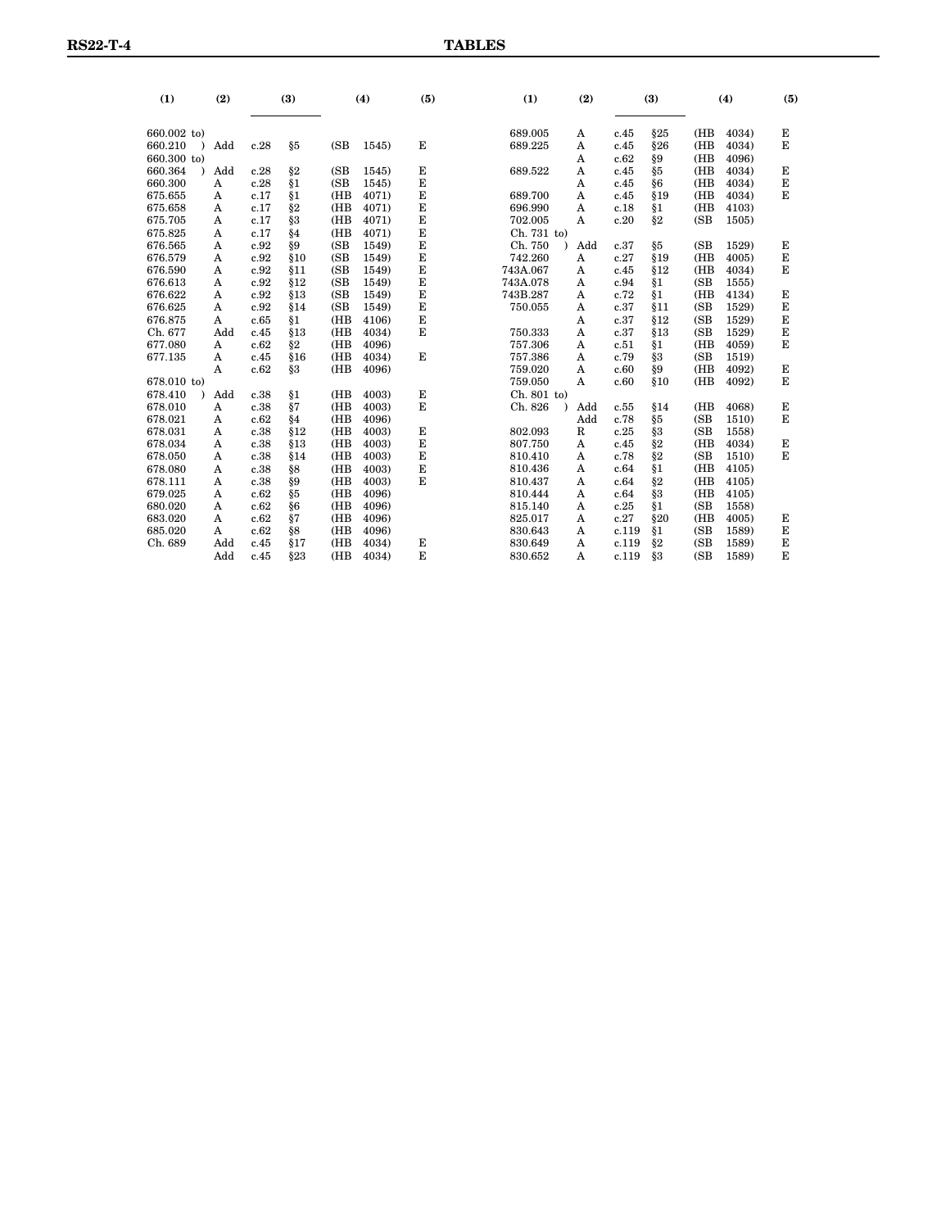| (1)          | (2) |      | (3)    |      | (4)   | (5)      | (1)         |  |            | (2)   |     | (3)  |       | (4) |  | (5) |
|--------------|-----|------|--------|------|-------|----------|-------------|--|------------|-------|-----|------|-------|-----|--|-----|
| 660.002 to)  |     |      |        |      |       |          | 689.005     |  | A          | c.45  | §25 | (HB  | 4034) | Е   |  |     |
| 660.210<br>١ | Add | c.28 | § 5    | (SB) | 1545) | E        | 689.225     |  | A          | c.45  | §26 | (HB  | 4034) | E   |  |     |
| 660.300 to)  |     |      |        |      |       |          |             |  | A          | c.62  | §9  | (HB  | 4096) |     |  |     |
| 660.364      | Add | c.28 | §2     | (SB) | 1545) | E        | 689.522     |  | A          | c.45  | § 5 | (HB  | 4034) | Е   |  |     |
| 660.300      | A   | c.28 | §1     | (SB) | 1545) | E        |             |  | A          | c.45  | §6  | (HB  | 4034) | E   |  |     |
| 675.655      | A   | c.17 | §1     | (HB  | 4071) | E        | 689.700     |  | A          | c.45  | §19 | (HB  | 4034) | E   |  |     |
| 675.658      | A   | c.17 | $\S 2$ | (HB) | 4071) | E        | 696.990     |  | A          | c.18  | §1  | (HB) | 4103) |     |  |     |
| 675.705      | A   | c.17 | § 3    | (HB  | 4071) | E        | 702.005     |  | A          | c.20  | §2  | (SB) | 1505) |     |  |     |
| 675.825      | A   | c.17 | §4     | (HB) | 4071) | E        | Ch. 731 to) |  |            |       |     |      |       |     |  |     |
| 676.565      | A   | c.92 | §9     | (SB) | 1549) | E        | Ch. 750     |  | Add        | c.37  | §5  | (SB) | 1529) | Е   |  |     |
| 676.579      | A   | c.92 | §10    | (SB) | 1549) | $\bf{E}$ | 742.260     |  | A          | c.27  | §19 | (HB) | 4005) | E   |  |     |
| 676.590      | A   | c.92 | §11    | (SB) | 1549) | E        | 743A.067    |  | A          | c.45  | §12 | (HB  | 4034) | E   |  |     |
| 676.613      | A   | c.92 | §12    | (SB) | 1549) | E        | 743A.078    |  | A          | c.94  | §1  | (SB) | 1555) |     |  |     |
| 676.622      | A   | c.92 | §13    | (SB) | 1549) | E        | 743B.287    |  | A          | c.72  | §1  | (HB) | 4134) | E   |  |     |
| 676.625      | A   | c.92 | \$14   | (SB) | 1549) | E        | 750.055     |  | A          | c.37  | §11 | (SB) | 1529) | E   |  |     |
| 676.875      | A   | c.65 | §1     | (HB) | 4106) | Е        |             |  | A          | c.37  | §12 | (SB) | 1529) | Е   |  |     |
| Ch. 677      | Add | c.45 | §13    | (HB) | 4034) | E        | 750.333     |  | A          | c.37  | §13 | (SB) | 1529) | Е   |  |     |
| 677.080      | A   | c.62 | $\S 2$ | (HB  | 4096) |          | 757.306     |  | A          | c.51  | §1  | (HB  | 4059) | E   |  |     |
| 677.135      | A   | c.45 | \$16   | (HB  | 4034) | E        | 757.386     |  | A          | c.79  | §3  | (SB  | 1519) |     |  |     |
|              | A   | c.62 | §3     | (HB) | 4096) |          | 759.020     |  | A          | c.60  | §9  | (HB  | 4092) | Е   |  |     |
| 678.010 to)  |     |      |        |      |       |          | 759.050     |  | A          | c.60  | §10 | (HB  | 4092) | E   |  |     |
| 678.410      | Add | c.38 | §1     | (HB  | 4003) | E        | Ch. 801 to) |  |            |       |     |      |       |     |  |     |
| 678.010      | A   | c.38 | §7     | (HB) | 4003) | E        | Ch. 826     |  | Add        | c.55  | §14 | (HB  | 4068) | Е   |  |     |
| 678.021      | A   | c.62 | §4     | (HB  | 4096) |          |             |  | Add        | c.78  | § 5 | (SB) | 1510) | E   |  |     |
| 678.031      | A   | c.38 | §12    | (HB) | 4003) | E        | 802.093     |  | $_{\rm R}$ | c.25  | § 3 | (SB) | 1558) |     |  |     |
| 678.034      | A   | c.38 | §13    | (HB  | 4003) | E        | 807.750     |  | A          | c.45  | §2  | (HB  | 4034) | E   |  |     |
| 678.050      | A   | c.38 | \$14   | (HB) | 4003) | E        | 810.410     |  | A          | c.78  | §2  | (SB) | 1510) | E   |  |     |
| 678.080      | A   | c.38 | §8     | (HB  | 4003) | E        | 810.436     |  | A          | c.64  | §1  | (HB  | 4105) |     |  |     |
| 678.111      | A   | c.38 | §9     | (HB  | 4003) | Е        | 810.437     |  | A          | c.64  | §2  | (HB  | 4105) |     |  |     |
| 679.025      | A   | c.62 | §5     | (HB) | 4096) |          | 810.444     |  | A          | c.64  | §3  | (HB  | 4105) |     |  |     |
| 680.020      | A   | c.62 | §6     | (HB) | 4096) |          | 815.140     |  | A          | c.25  | §1  | (SB) | 1558) |     |  |     |
| 683.020      | A   | c.62 | §7     | (HB  | 4096) |          | 825.017     |  | A          | c.27  | §20 | (HB) | 4005) | Е   |  |     |
| 685.020      | A   | c.62 | §8     | (HB) | 4096) |          | 830.643     |  | A          | c.119 | §1  | (SB) | 1589) | Е   |  |     |
| Ch. 689      | Add | c.45 | §17    | (HB) | 4034) | E        | 830.649     |  | A          | c.119 | §2  | (SB) | 1589) | E   |  |     |
|              | Add | c.45 | §23    | (HB) | 4034) | E        | 830.652     |  | A          | c.119 | §3  | (SB) | 1589) | E   |  |     |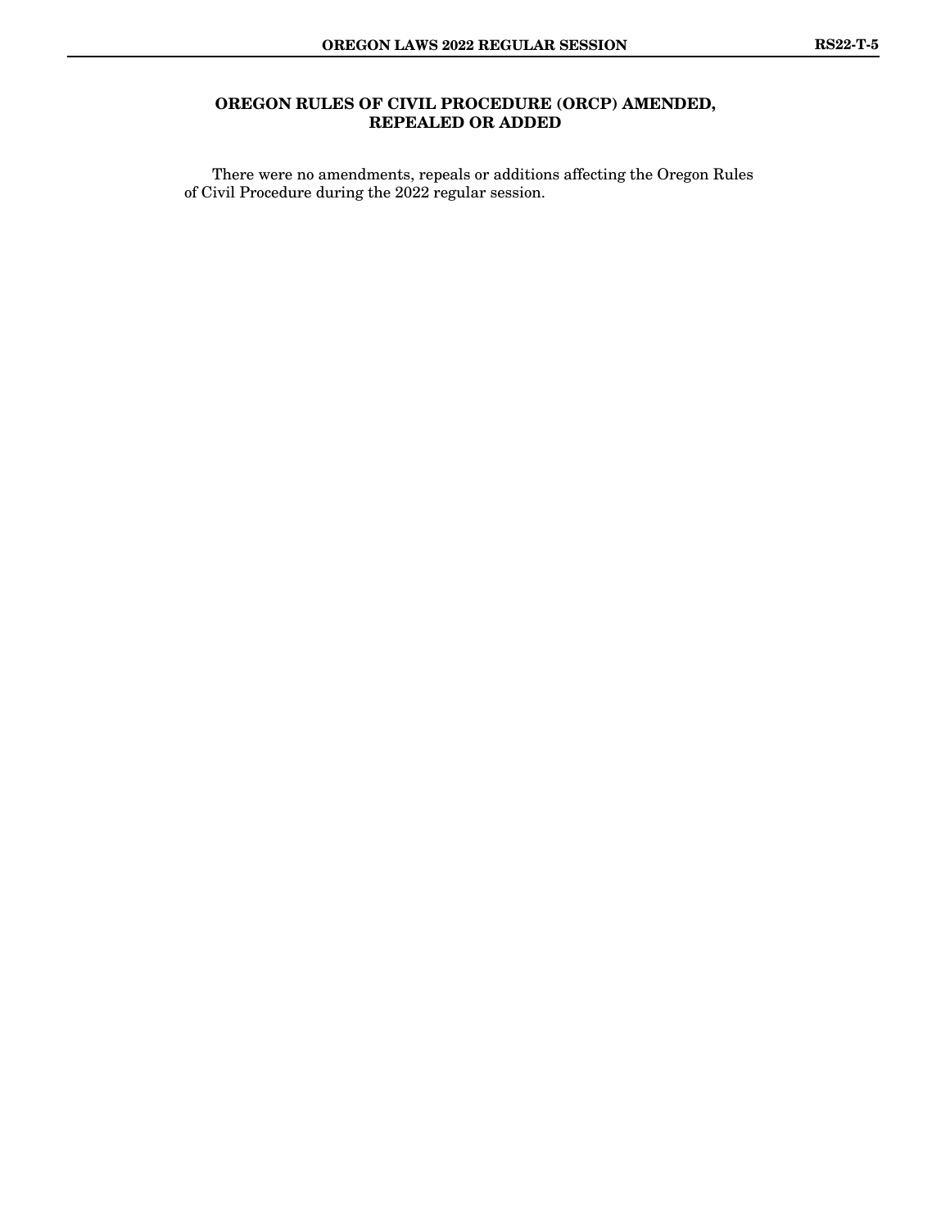## **OREGON RULES OF CIVIL PROCEDURE (ORCP) AMENDED, REPEALED OR ADDED**

There were no amendments, repeals or additions affecting the Oregon Rules of Civil Procedure during the 2022 regular session.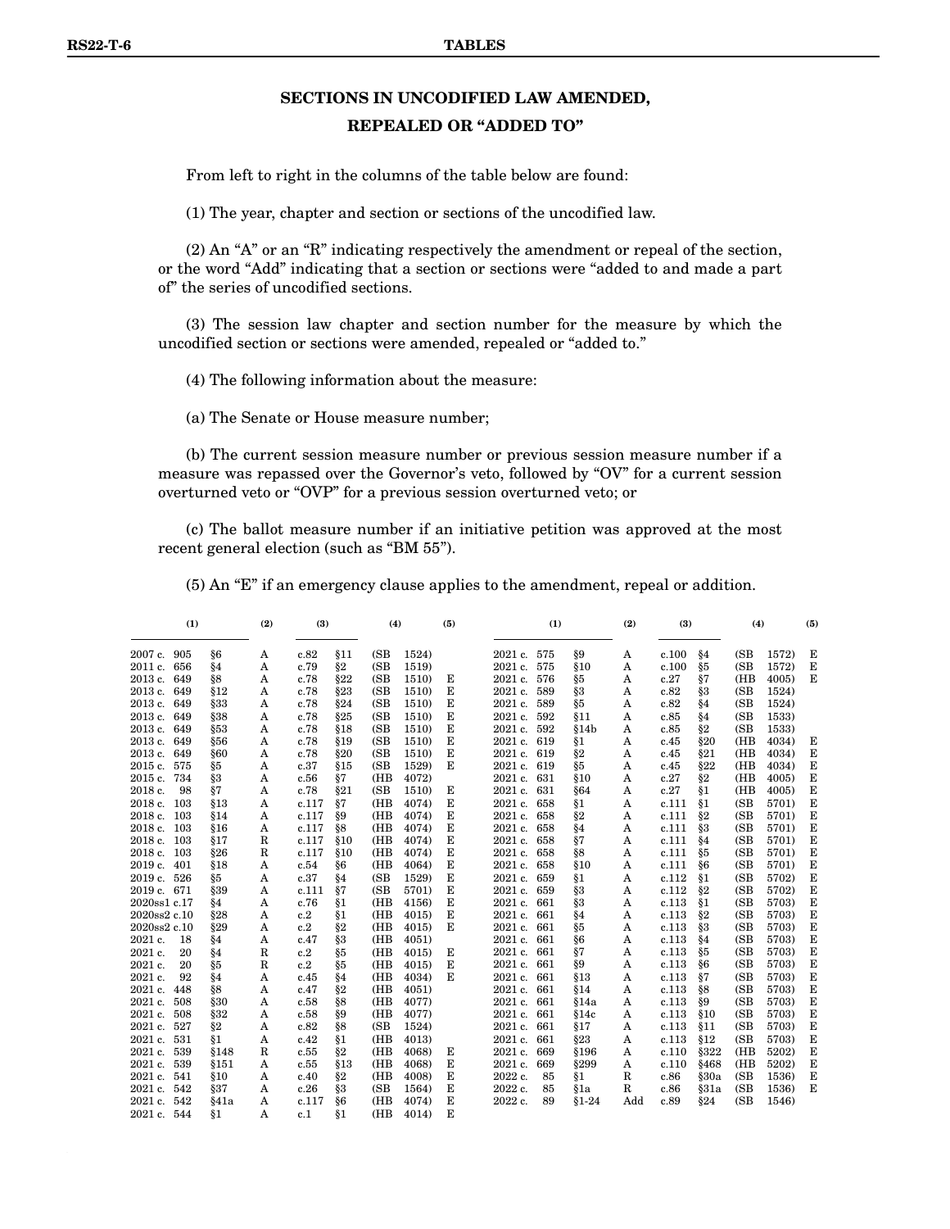# **SECTIONS IN UNCODIFIED LAW AMENDED,**

#### **REPEALED OR "ADDED TO"**

From left to right in the columns of the table below are found:

(1) The year, chapter and section or sections of the uncodified law.

(2) An "A" or an "R" indicating respectively the amendment or repeal of the section, or the word "Add" indicating that a section or sections were "added to and made a part of" the series of uncodified sections.

(3) The session law chapter and section number for the measure by which the uncodified section or sections were amended, repealed or "added to."

(4) The following information about the measure:

(a) The Senate or House measure number;

(b) The current session measure number or previous session measure number if a measure was repassed over the Governor's veto, followed by "OV" for a current session overturned veto or "OVP" for a previous session overturned veto; or

(c) The ballot measure number if an initiative petition was approved at the most recent general election (such as "BM 55").

(5) An "E" if an emergency clause applies to the amendment, repeal or addition.

| (1)              |        | (2) | (3)   |       | (4)  |       | (5) |             | (1) |         | (2) | (3)   |                | (4)  |       | (5)     |
|------------------|--------|-----|-------|-------|------|-------|-----|-------------|-----|---------|-----|-------|----------------|------|-------|---------|
| 2007 c. 905      | §6     | Α   | c.82  | §11   | (SB) | 1524) |     | 2021 c. 575 |     | §9      | Α   | c.100 | §4             | (SB) | 1572) | Е       |
| 2011 c. 656      | §4     | A   | c.79  | $\S2$ | (SB) | 1519) |     | $2021c$ .   | 575 | §10     | Α   | c.100 | §5             | (SB) | 1572) | Е       |
| 2013 c. 649      | §8     | A   | c.78  | §22   | (SB) | 1510) | Е   | $2021c$ .   | 576 | §5      | A   | c.27  | §7             | (HB  | 4005  | E       |
| 2013 c. 649      | §12    | A   | c.78  | §23   | (SB) | 1510) | Е   | 2021 c.     | 589 | § 3     | A   | c.82  | § 3            | (SB) | 1524) |         |
| 2013 c. 649      | §33    | A   | c.78  | §24   | (SB) | 1510) | Е   | 2021 c. 589 |     | §5      | Α   | c.82  | §4             | (SB) | 1524) |         |
| 2013 c. 649      | §38    | A   | c.78  | §25   | (SB) | 1510) | Е   | 2021 c. 592 |     | 811     | A   | c.85  | §4             | (SB) | 1533) |         |
| 2013 c. 649      | §53    | A   | c.78  | \$18  | (SB) | 1510) | E   | 2021 c. 592 |     | §14b    | Α   | c.85  | §2             | (SB) | 1533) |         |
| 2013 c. 649      | §56    | A   | c.78  | §19   | (SB) | 1510) | E   | 2021 c. 619 |     | §1      | Α   | c.45  | §20            | (HB) | 4034) | Е       |
| 2013 c. 649      | §60    | A   | c.78  | §20   | (SB) | 1510) | Е   | 2021 c. 619 |     | §2      | A   | c.45  | §21            | (HB  | 4034) | Е       |
| 2015 c. 575      | §5     | A   | c.37  | §15   | (SB) | 1529) | Е   | 2021 c.     | 619 | §5      | A   | c.45  | §22            | (HB  | 4034) | Е       |
| 2015 c.<br>734   | §3     | A   | c.56  | §7    | (HB) | 4072) |     | 2021 c. 631 |     | §10     | Α   | c.27  | §2             | (HB  | 4005) | Е       |
| 2018 c.<br>98    | §7     | A   | c.78  | §21   | (SB) | 1510) | Е   | 2021 c. 631 |     | §64     | A   | c.27  | §1             | (HB  | 4005) | Е       |
| 2018 c. 103      | \$13   | Α   | c.117 | §7    | (HB  | 4074) | E   | 2021 c.     | 658 | §1      | A   | c.111 | §1             | (SB) | 5701) | Е       |
| 2018 c. 103      | §14    | A   | c.117 | §9    | (HB) | 4074) | E   | 2021 c.     | 658 | $\S2$   | Α   | c.111 | $\S_2$         | (SB) | 5701) | E       |
| 2018 c. 103      | §16    | A   | c.117 | §8    | (HB) | 4074) | E   | 2021 c.     | 658 | §4      | A   | c.111 | §3             | (SB) | 5701) | Е       |
| 2018 c. 103      | §17    | R   | c.117 | \$10  | (HB) | 4074) | Е   | 2021 c.     | 658 | §7      | A   | c.111 | §4             | (SB) | 5701) | Е       |
| 2018 c. 103      | \$26   | R   | c.117 | \$10  | (HB) | 4074) | E   | 2021 c.     | 658 | §8      | Α   | c.111 | §5             | (SB) | 5701) | Е       |
| 2019 c.<br>401   | §18    | A   | c.54  | §6    | (HB  | 4064) | E   | $2021c$ .   | 658 | \$10    | Α   | c.111 | §6             | (SB) | 5701) | Е       |
| 2019 c. 526      | §5     | A   | c.37  | §4    | (SB) | 1529) | E   | 2021 c.     | 659 | §1      | A   | c.112 | §1             | (SB) | 5702) | Е       |
| 2019 c. 671      | §39    | A   | c.111 | §7    | (SB) | 5701) | E   | 2021 c.     | 659 | §3      | Α   | c.112 | $\S_2$         | (SB) | 5702) | E       |
| 2020ss1 c.17     | §4     | A   | c.76  | §1    | (HB) | 4156) | E   | 2021 c.     | 661 | §3      | Α   | c.113 | $\frac{81}{3}$ | (SB) | 5703) | $\bf E$ |
| 2020ss2 c.10     | §28    | Α   | c.2   | §1    | (HB) | 4015) | Е   | 2021 c.     | 661 | §4      | A   | c.113 | §2             | (SB) | 5703) | Е       |
| 2020ss2 c.10     | §29    | A   | c.2   | §2    | (HB) | 4015) | Е   | 2021 c.     | 661 | §5      | A   | c.113 | §3             | (SB) | 5703) | E       |
| 2021 c.<br>18    | §4     | A   | c.47  | $\S3$ | (HB) | 4051) |     | $2021c$ .   | 661 | §6      | Α   | c.113 | §4             | (SB) | 5703) | E       |
| 2021 c.<br>20    | §4     | R   | c.2   | §5    | (HB) | 4015) | Е   | 2021 c.     | 661 | §7      | A   | c.113 | §5             | (SB) | 5703) | E       |
| 2021 c.<br>20    | §5     | R   | c.2   | § 5   | (HB) | 4015) | Е   | 2021 c.     | 661 | §9      | A   | c.113 | §6             | (SB) | 5703) | E       |
| 2021 c.<br>92    | §4     | A   | c.45  | §4    | (HB) | 4034) | E   | 2021 c.     | 661 | §13     | Α   | c.113 | §7             | (SB) | 5703) | Е       |
| $2021c$ .<br>448 | §8     | Α   | c.47  | §2    | (HB) | 4051) |     | 2021 c.     | 661 | §14     | Α   | c.113 | §8             | (SB) | 5703) | Е       |
| 2021 c.<br>508   | §30    | А   | c.58  | §8    | (HB  | 4077) |     | $2021c$ .   | 661 | §14a    | Α   | c.113 | §9             | (SB  | 5703) | E       |
| $2021c$ .<br>508 | §32    | A   | c.58  | §9    | (HB) | 4077) |     | $2021c$ .   | 661 | §14c    | A   | c.113 | \$10           | (SB) | 5703) | Е       |
| 2021 c.<br>527   | $\S 2$ | A   | c.82  | §8    | (SB) | 1524) |     | $2021c$ .   | 661 | §17     | Α   | c.113 | §11            | (SB) | 5703) | Е       |
| 2021 c.<br>531   | §1     | A   | c.42  | §1    | (HB) | 4013) |     | 2021 c.     | 661 | §23     | A   | c.113 | §12            | (SB) | 5703) | $\bf E$ |
| 2021 c.<br>539   | §148   | R   | c.55  | §2    | (HB  | 4068) | Е   | 2021 c.     | 669 | §196    | A   | c.110 | §322           | (HB  | 5202) | Е       |
| 2021 c.<br>539   | \$151  | A   | c.55  | §13   | (HB  | 4068) | Е   | 2021 c.     | 669 | §299    | A   | c.110 | §468           | (HB  | 5202) | Е       |
| 2021 c. 541      | §10    | A   | c.40  | §2    | (HB) | 4008) | Е   | 2022 c.     | 85  | §1      | R   | c.86  | §30a           | (SB) | 1536) | Е       |
| $2021c$ .<br>542 | 837    | A   | c.26  | §3    | (SB) | 1564) | E   | 2022 c.     | 85  | §1a     | R   | c.86  | §31a           | (SB) | 1536) | Е       |
| 2021 c.<br>542   | §41a   | Α   | c.117 | §6    | (HB  | 4074) | Е   | 2022 c.     | 89  | $$1-24$ | Add | c.89  | §24            | (SB) | 1546) |         |
| 2021 c.<br>544   | §1     | A   | c.1   | 81    | (HB  | 4014) | E,  |             |     |         |     |       |                |      |       |         |